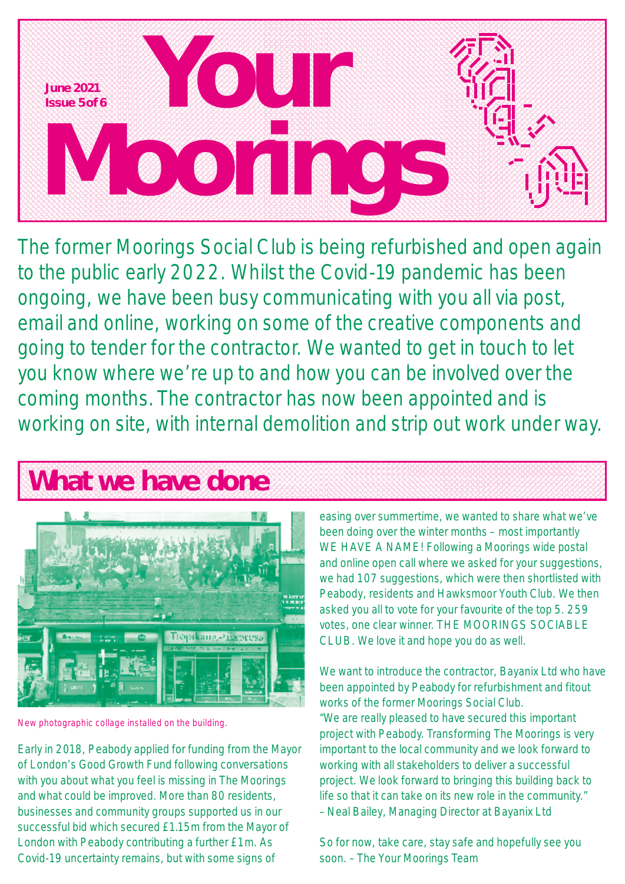

The former Moorings Social Club is being refurbished and open again to the public early 2022. Whilst the Covid-19 pandemic has been ongoing, we have been busy communicating with you all via post, email and online, working on some of the creative components and going to tender for the contractor. We wanted to get in touch to let you know where we're up to and how you can be involved over the coming months. The contractor has now been appointed and is working on site, with internal demolition and strip out work under way.

## **What we have done**



New photographic collage installed on the building.

Early in 2018, Peabody applied for funding from the Mayor of London's Good Growth Fund following conversations with you about what you feel is missing in The Moorings and what could be improved. More than 80 residents, businesses and community groups supported us in our successful bid which secured £1.15m from the Mayor of London with Peabody contributing a further £1m. As Covid-19 uncertainty remains, but with some signs of

easing over summertime, we wanted to share what we've been doing over the winter months – most importantly WE HAVE A NAME! Following a Moorings wide postal and online open call where we asked for your suggestions, we had 107 suggestions, which were then shortlisted with Peabody, residents and Hawksmoor Youth Club. We then asked you all to vote for your favourite of the top 5. 259 votes, one clear winner. THE MOORINGS SOCIABLE CLUB. We love it and hope you do as well.

We want to introduce the contractor, Bayanix Ltd who have been appointed by Peabody for refurbishment and fitout works of the former Moorings Social Club. "We are really pleased to have secured this important project with Peabody. Transforming The Moorings is very important to the local community and we look forward to working with all stakeholders to deliver a successful project. We look forward to bringing this building back to life so that it can take on its new role in the community." –Neal Bailey, Managing Director at Bayanix Ltd

So for now, take care, stay safe and hopefully see you soon. – The Your Moorings Team